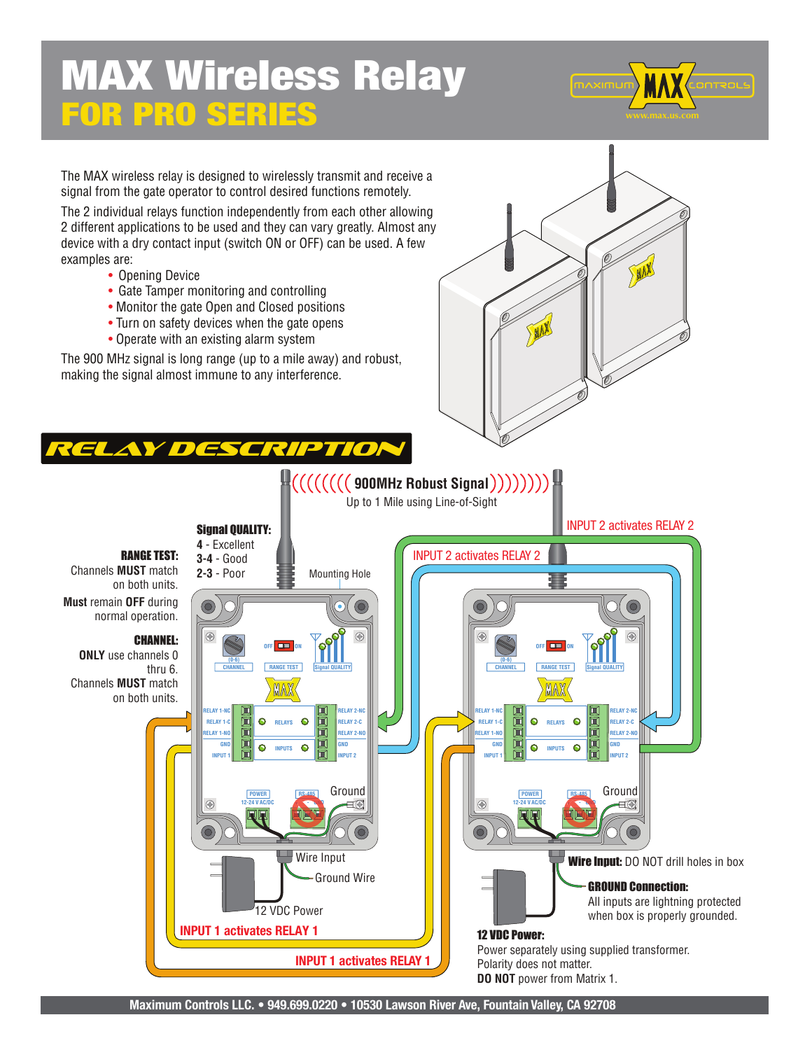## MAX Wireless Relay FOR PRO SERIES



The MAX wireless relay is designed to wirelessly transmit and receive a signal from the gate operator to control desired functions remotely.

The 2 individual relays function independently from each other allowing 2 different applications to be used and they can vary greatly. Almost any device with a dry contact input (switch ON or OFF) can be used. A few examples are:

- Opening Device
- Gate Tamper monitoring and controlling
- Monitor the gate Open and Closed positions
- Turn on safety devices when the gate opens
- Operate with an existing alarm system

The 900 MHz signal is long range (up to a mile away) and robust, making the signal almost immune to any interference.